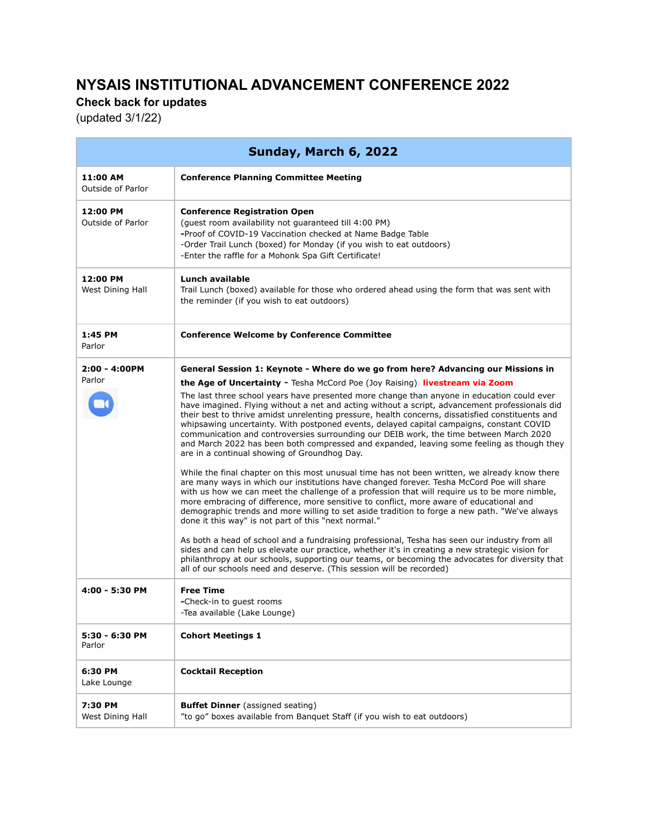## **NYSAIS INSTITUTIONAL ADVANCEMENT CONFERENCE 2022**

**Check back for updates**

(updated 3/1/22)

| Sunday, March 6, 2022         |                                                                                                                                                                                                                                                                                                                                                                                                                                                                                                                                                                                                                                     |  |
|-------------------------------|-------------------------------------------------------------------------------------------------------------------------------------------------------------------------------------------------------------------------------------------------------------------------------------------------------------------------------------------------------------------------------------------------------------------------------------------------------------------------------------------------------------------------------------------------------------------------------------------------------------------------------------|--|
| 11:00 AM<br>Outside of Parlor | <b>Conference Planning Committee Meeting</b>                                                                                                                                                                                                                                                                                                                                                                                                                                                                                                                                                                                        |  |
| 12:00 PM<br>Outside of Parlor | <b>Conference Registration Open</b><br>(quest room availability not quaranteed till 4:00 PM)<br>-Proof of COVID-19 Vaccination checked at Name Badge Table<br>-Order Trail Lunch (boxed) for Monday (if you wish to eat outdoors)<br>-Enter the raffle for a Mohonk Spa Gift Certificate!                                                                                                                                                                                                                                                                                                                                           |  |
| 12:00 PM<br>West Dining Hall  | Lunch available<br>Trail Lunch (boxed) available for those who ordered ahead using the form that was sent with<br>the reminder (if you wish to eat outdoors)                                                                                                                                                                                                                                                                                                                                                                                                                                                                        |  |
| 1:45 PM<br>Parlor             | <b>Conference Welcome by Conference Committee</b>                                                                                                                                                                                                                                                                                                                                                                                                                                                                                                                                                                                   |  |
| $2:00 - 4:00PM$               | General Session 1: Keynote - Where do we go from here? Advancing our Missions in                                                                                                                                                                                                                                                                                                                                                                                                                                                                                                                                                    |  |
| Parlor                        | <b>the Age of Uncertainty - Tesha McCord Poe (Joy Raising) livestream via Zoom</b>                                                                                                                                                                                                                                                                                                                                                                                                                                                                                                                                                  |  |
|                               | The last three school years have presented more change than anyone in education could ever<br>have imagined. Flying without a net and acting without a script, advancement professionals did<br>their best to thrive amidst unrelenting pressure, health concerns, dissatisfied constituents and<br>whipsawing uncertainty. With postponed events, delayed capital campaigns, constant COVID<br>communication and controversies surrounding our DEIB work, the time between March 2020<br>and March 2022 has been both compressed and expanded, leaving some feeling as though they<br>are in a continual showing of Groundhog Day. |  |
|                               | While the final chapter on this most unusual time has not been written, we already know there<br>are many ways in which our institutions have changed forever. Tesha McCord Poe will share<br>with us how we can meet the challenge of a profession that will require us to be more nimble,<br>more embracing of difference, more sensitive to conflict, more aware of educational and<br>demographic trends and more willing to set aside tradition to forge a new path. "We've always<br>done it this way" is not part of this "next normal."                                                                                     |  |
|                               | As both a head of school and a fundraising professional, Tesha has seen our industry from all<br>sides and can help us elevate our practice, whether it's in creating a new strategic vision for<br>philanthropy at our schools, supporting our teams, or becoming the advocates for diversity that<br>all of our schools need and deserve. (This session will be recorded)                                                                                                                                                                                                                                                         |  |
| 4:00 - 5:30 PM                | <b>Free Time</b><br>-Check-in to quest rooms<br>-Tea available (Lake Lounge)                                                                                                                                                                                                                                                                                                                                                                                                                                                                                                                                                        |  |
| 5:30 - 6:30 PM<br>Parlor      | <b>Cohort Meetings 1</b>                                                                                                                                                                                                                                                                                                                                                                                                                                                                                                                                                                                                            |  |
| 6:30 PM<br>Lake Lounge        | <b>Cocktail Reception</b>                                                                                                                                                                                                                                                                                                                                                                                                                                                                                                                                                                                                           |  |
| 7:30 PM<br>West Dining Hall   | <b>Buffet Dinner</b> (assigned seating)<br>"to go" boxes available from Banguet Staff (if you wish to eat outdoors)                                                                                                                                                                                                                                                                                                                                                                                                                                                                                                                 |  |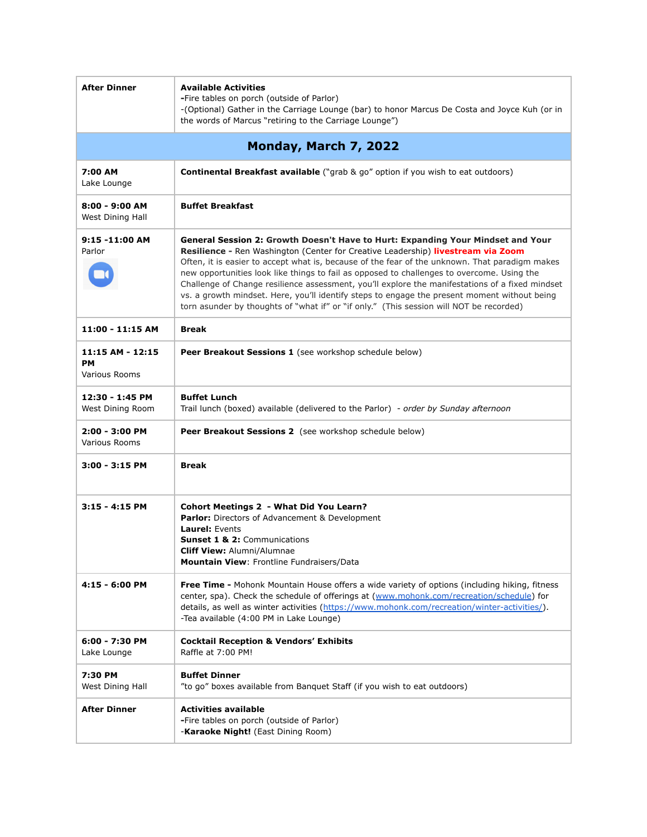| <b>After Dinner</b>                                   | <b>Available Activities</b><br>-Fire tables on porch (outside of Parlor)<br>-(Optional) Gather in the Carriage Lounge (bar) to honor Marcus De Costa and Joyce Kuh (or in<br>the words of Marcus "retiring to the Carriage Lounge")                                                                                                                                                                                                                                                                                                                                                                                                                               |  |
|-------------------------------------------------------|-------------------------------------------------------------------------------------------------------------------------------------------------------------------------------------------------------------------------------------------------------------------------------------------------------------------------------------------------------------------------------------------------------------------------------------------------------------------------------------------------------------------------------------------------------------------------------------------------------------------------------------------------------------------|--|
| Monday, March 7, 2022                                 |                                                                                                                                                                                                                                                                                                                                                                                                                                                                                                                                                                                                                                                                   |  |
| 7:00 AM<br>Lake Lounge                                | Continental Breakfast available ("grab & go" option if you wish to eat outdoors)                                                                                                                                                                                                                                                                                                                                                                                                                                                                                                                                                                                  |  |
| $8:00 - 9:00$ AM<br>West Dining Hall                  | <b>Buffet Breakfast</b>                                                                                                                                                                                                                                                                                                                                                                                                                                                                                                                                                                                                                                           |  |
| $9:15 - 11:00$ AM<br>Parlor                           | General Session 2: Growth Doesn't Have to Hurt: Expanding Your Mindset and Your<br>Resilience - Ren Washington (Center for Creative Leadership) livestream via Zoom<br>Often, it is easier to accept what is, because of the fear of the unknown. That paradigm makes<br>new opportunities look like things to fail as opposed to challenges to overcome. Using the<br>Challenge of Change resilience assessment, you'll explore the manifestations of a fixed mindset<br>vs. a growth mindset. Here, you'll identify steps to engage the present moment without being<br>torn asunder by thoughts of "what if" or "if only." (This session will NOT be recorded) |  |
| 11:00 - 11:15 AM                                      | <b>Break</b>                                                                                                                                                                                                                                                                                                                                                                                                                                                                                                                                                                                                                                                      |  |
| 11:15 AM - 12:15<br><b>PM</b><br><b>Various Rooms</b> | Peer Breakout Sessions 1 (see workshop schedule below)                                                                                                                                                                                                                                                                                                                                                                                                                                                                                                                                                                                                            |  |
| 12:30 - 1:45 PM<br>West Dining Room                   | <b>Buffet Lunch</b><br>Trail lunch (boxed) available (delivered to the Parlor) - order by Sunday afternoon                                                                                                                                                                                                                                                                                                                                                                                                                                                                                                                                                        |  |
| 2:00 - 3:00 PM<br>Various Rooms                       | Peer Breakout Sessions 2 (see workshop schedule below)                                                                                                                                                                                                                                                                                                                                                                                                                                                                                                                                                                                                            |  |
| $3:00 - 3:15$ PM                                      | <b>Break</b>                                                                                                                                                                                                                                                                                                                                                                                                                                                                                                                                                                                                                                                      |  |
| $3:15 - 4:15$ PM                                      | <b>Cohort Meetings 2 - What Did You Learn?</b><br><b>Parlor:</b> Directors of Advancement & Development<br>Laurel: Events<br><b>Sunset 1 &amp; 2: Communications</b><br><b>Cliff View: Alumni/Alumnae</b><br>Mountain View: Frontline Fundraisers/Data                                                                                                                                                                                                                                                                                                                                                                                                            |  |
| 4:15 - 6:00 PM                                        | Free Time - Mohonk Mountain House offers a wide variety of options (including hiking, fitness<br>center, spa). Check the schedule of offerings at (www.mohonk.com/recreation/schedule) for<br>details, as well as winter activities (https://www.mohonk.com/recreation/winter-activities/).<br>-Tea available (4:00 PM in Lake Lounge)                                                                                                                                                                                                                                                                                                                            |  |
| 6:00 - 7:30 PM<br>Lake Lounge                         | <b>Cocktail Reception &amp; Vendors' Exhibits</b><br>Raffle at 7:00 PM!                                                                                                                                                                                                                                                                                                                                                                                                                                                                                                                                                                                           |  |
| 7:30 PM<br>West Dining Hall                           | <b>Buffet Dinner</b><br>"to go" boxes available from Banquet Staff (if you wish to eat outdoors)                                                                                                                                                                                                                                                                                                                                                                                                                                                                                                                                                                  |  |
| <b>After Dinner</b>                                   | <b>Activities available</b><br>-Fire tables on porch (outside of Parlor)<br>-Karaoke Night! (East Dining Room)                                                                                                                                                                                                                                                                                                                                                                                                                                                                                                                                                    |  |